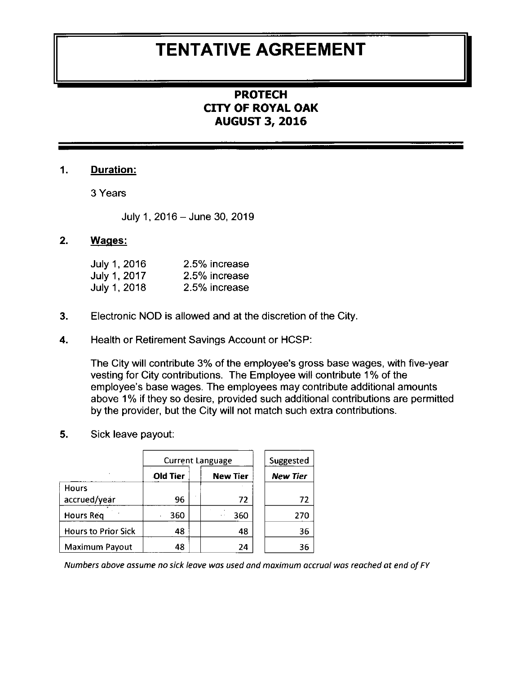## TENTATIVE AGREEMENT

### **PROTECH** CITY OF ROYAL OAK AUGUST 3,2OL6

#### 1. Duration:

3 Years

July 1, 2016 - June 30, 2019

#### 2. Waqes:

| 2.5% increase |
|---------------|
| 2.5% increase |
| 2.5% increase |
|               |

- 3. Electronic NOD is allowed and at the discretion of the City.
- 4. Health or Retirement Savings Account or HCSP:

The City will contribute 3% of the employee's gross base wages, with five-year vesting for City contributions. The Employee will contribute 1% of the employee's base wages. The employees may contribute additional amounts above 1% if they so desire, provided such additional contributions are permitted by the provider, but the City will not match such extra contributions.

5. Sick leave payout:

|                            | <b>Current Language</b> |                        | Suggested |
|----------------------------|-------------------------|------------------------|-----------|
|                            | <b>Old Tier</b>         | <b>New Tier</b>        | New Tier  |
| <b>Hours</b>               |                         |                        |           |
| accrued/year               | 96                      | 72                     | 72        |
| <b>Hours Reg</b>           | 360                     | 360<br>$\cdot$ $\cdot$ | 270       |
| <b>Hours to Prior Sick</b> | 48                      | 48                     | 36        |
| Maximum Payout             | 48                      | 24                     | 36        |

Numbers above assume no sick leave was used and maximum accrual was reached at end of FY